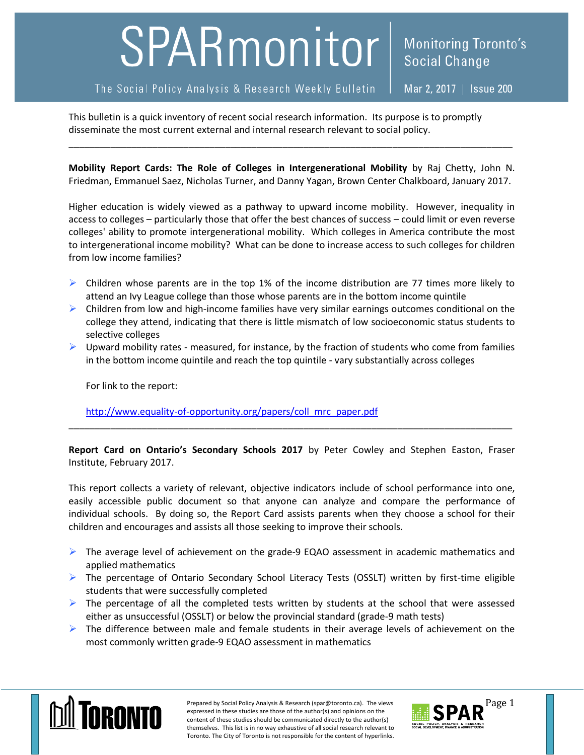## SPARmonitor

## The Social Policy Analysis & Research Weekly Bulletin

Mar 2, 2017 | Issue 200

**Social Change** 

**Monitoring Toronto's** 

This bulletin is a quick inventory of recent social research information. Its purpose is to promptly disseminate the most current external and internal research relevant to social policy.

**Mobility Report Cards: The Role of Colleges in Intergenerational Mobility** by Raj Chetty, John N. Friedman, Emmanuel Saez, Nicholas Turner, and Danny Yagan, Brown Center Chalkboard, January 2017.

\_\_\_\_\_\_\_\_\_\_\_\_\_\_\_\_\_\_\_\_\_\_\_\_\_\_\_\_\_\_\_\_\_\_\_\_\_\_\_\_\_\_\_\_\_\_\_\_\_\_\_\_\_\_\_\_\_\_\_\_\_\_\_\_\_\_\_\_\_\_\_\_\_\_\_\_\_\_\_\_\_\_\_\_\_

Higher education is widely viewed as a pathway to upward income mobility. However, inequality in access to colleges – particularly those that offer the best chances of success – could limit or even reverse colleges' ability to promote intergenerational mobility. Which colleges in America contribute the most to intergenerational income mobility? What can be done to increase access to such colleges for children from low income families?

- $\triangleright$  Children whose parents are in the top 1% of the income distribution are 77 times more likely to attend an Ivy League college than those whose parents are in the bottom income quintile
- $\triangleright$  Children from low and high-income families have very similar earnings outcomes conditional on the college they attend, indicating that there is little mismatch of low socioeconomic status students to selective colleges
- $\triangleright$  Upward mobility rates measured, for instance, by the fraction of students who come from families in the bottom income quintile and reach the top quintile - vary substantially across colleges

For link to the report:

[http://www.equality-of-opportunity.org/papers/coll\\_mrc\\_paper.pdf](http://www.equality-of-opportunity.org/papers/coll_mrc_paper.pdf)

**Report Card on Ontario's Secondary Schools 2017** by Peter Cowley and Stephen Easton, Fraser Institute, February 2017.

\_\_\_\_\_\_\_\_\_\_\_\_\_\_\_\_\_\_\_\_\_\_\_\_\_\_\_\_\_\_\_\_\_\_\_\_\_\_\_\_\_\_\_\_\_\_\_\_\_\_\_\_\_\_\_\_\_\_\_\_\_\_\_\_\_\_\_\_\_\_\_\_\_\_\_\_\_\_\_\_\_\_\_\_\_

This report collects a variety of relevant, objective indicators include of school performance into one, easily accessible public document so that anyone can analyze and compare the performance of individual schools. By doing so, the Report Card assists parents when they choose a school for their children and encourages and assists all those seeking to improve their schools.

- ▶ The average level of achievement on the grade-9 EQAO assessment in academic mathematics and applied mathematics
- $\triangleright$  The percentage of Ontario Secondary School Literacy Tests (OSSLT) written by first-time eligible students that were successfully completed
- $\triangleright$  The percentage of all the completed tests written by students at the school that were assessed either as unsuccessful (OSSLT) or below the provincial standard (grade-9 math tests)
- $\triangleright$  The difference between male and female students in their average levels of achievement on the most commonly written grade-9 EQAO assessment in mathematics



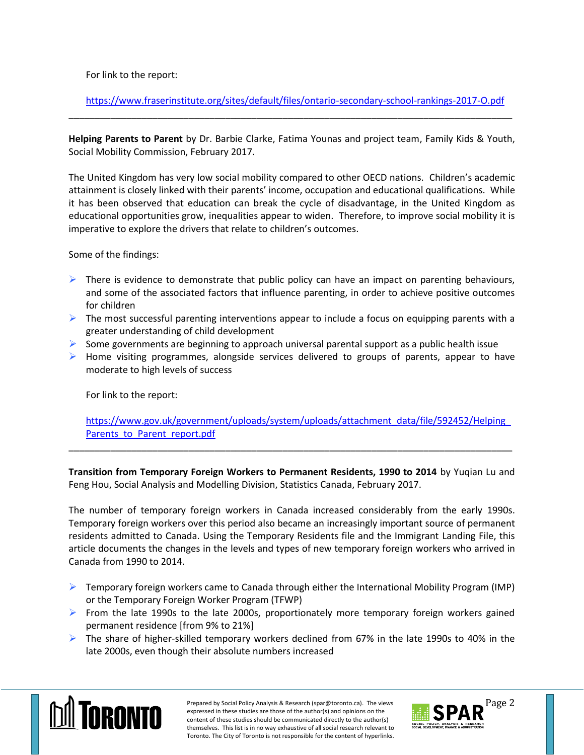For link to the report:

<https://www.fraserinstitute.org/sites/default/files/ontario-secondary-school-rankings-2017-O.pdf> \_\_\_\_\_\_\_\_\_\_\_\_\_\_\_\_\_\_\_\_\_\_\_\_\_\_\_\_\_\_\_\_\_\_\_\_\_\_\_\_\_\_\_\_\_\_\_\_\_\_\_\_\_\_\_\_\_\_\_\_\_\_\_\_\_\_\_\_\_\_\_\_\_\_\_\_\_\_\_\_\_\_\_\_\_

**Helping Parents to Parent** by Dr. Barbie Clarke, Fatima Younas and project team, Family Kids & Youth, Social Mobility Commission, February 2017.

The United Kingdom has very low social mobility compared to other OECD nations. Children's academic attainment is closely linked with their parents' income, occupation and educational qualifications. While it has been observed that education can break the cycle of disadvantage, in the United Kingdom as educational opportunities grow, inequalities appear to widen. Therefore, to improve social mobility it is imperative to explore the drivers that relate to children's outcomes.

Some of the findings:

- $\triangleright$  There is evidence to demonstrate that public policy can have an impact on parenting behaviours, and some of the associated factors that influence parenting, in order to achieve positive outcomes for children
- $\triangleright$  The most successful parenting interventions appear to include a focus on equipping parents with a greater understanding of child development
- $\triangleright$  Some governments are beginning to approach universal parental support as a public health issue
- $\triangleright$  Home visiting programmes, alongside services delivered to groups of parents, appear to have moderate to high levels of success

For link to the report:

[https://www.gov.uk/government/uploads/system/uploads/attachment\\_data/file/592452/Helping\\_](https://www.gov.uk/government/uploads/system/uploads/attachment_data/file/592452/Helping_Parents_to_Parent_report.pdf) [Parents\\_to\\_Parent\\_report.pdf](https://www.gov.uk/government/uploads/system/uploads/attachment_data/file/592452/Helping_Parents_to_Parent_report.pdf)

**Transition from Temporary Foreign Workers to Permanent Residents, 1990 to 2014** by Yuqian Lu and Feng Hou, Social Analysis and Modelling Division, Statistics Canada, February 2017.

\_\_\_\_\_\_\_\_\_\_\_\_\_\_\_\_\_\_\_\_\_\_\_\_\_\_\_\_\_\_\_\_\_\_\_\_\_\_\_\_\_\_\_\_\_\_\_\_\_\_\_\_\_\_\_\_\_\_\_\_\_\_\_\_\_\_\_\_\_\_\_\_\_\_\_\_\_\_\_\_\_\_\_\_\_

The number of temporary foreign workers in Canada increased considerably from the early 1990s. Temporary foreign workers over this period also became an increasingly important source of permanent residents admitted to Canada. Using the Temporary Residents file and the Immigrant Landing File, this article documents the changes in the levels and types of new temporary foreign workers who arrived in Canada from 1990 to 2014.

- $\triangleright$  Temporary foreign workers came to Canada through either the International Mobility Program (IMP) or the Temporary Foreign Worker Program (TFWP)
- $\triangleright$  From the late 1990s to the late 2000s, proportionately more temporary foreign workers gained permanent residence [from 9% to 21%]
- $\triangleright$  The share of higher-skilled temporary workers declined from 67% in the late 1990s to 40% in the late 2000s, even though their absolute numbers increased